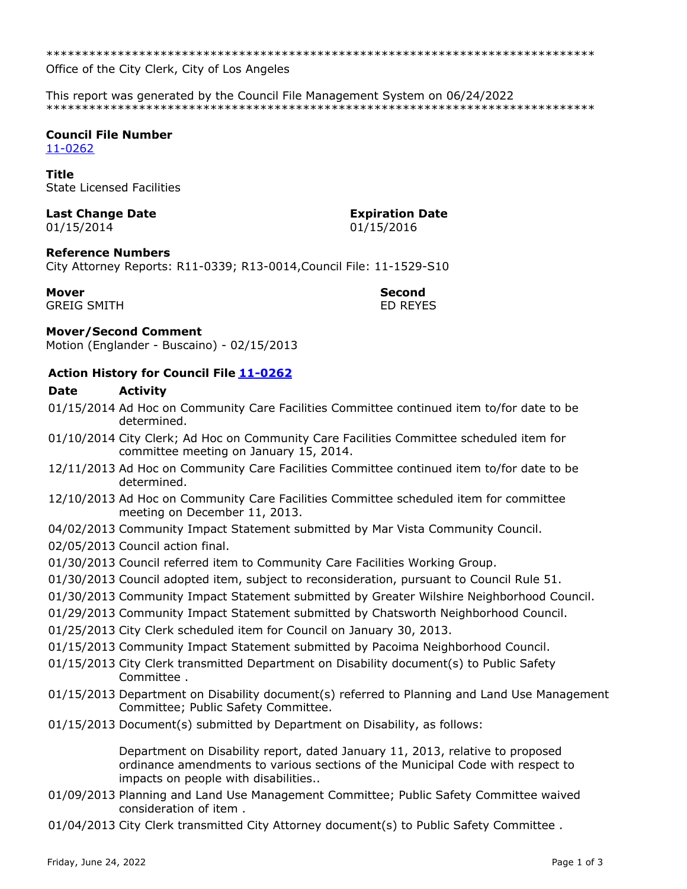Office of the City Clerk, City of Los Angeles

This report was generated by the Council File Management System on 06/24/2022 

## **Council File Number**

 $11 - 0262$ 

#### **Title**

**State Licensed Facilities** 

# **Last Change Date**

01/15/2014

**GREIG SMITH** 

#### **Expiration Date** 01/15/2016

#### **Reference Numbers**

City Attorney Reports: R11-0339; R13-0014, Council File: 11-1529-S10

#### **Mover**

#### **Second FD REYES**

### **Mover/Second Comment**

Motion (Englander - Buscaino) - 02/15/2013

### **Action History for Council File 11-0262**

#### **Date Activity**

- 01/15/2014 Ad Hoc on Community Care Facilities Committee continued item to/for date to be determined.
- 01/10/2014 City Clerk; Ad Hoc on Community Care Facilities Committee scheduled item for committee meeting on January 15, 2014.
- 12/11/2013 Ad Hoc on Community Care Facilities Committee continued item to/for date to be determined.
- 12/10/2013 Ad Hoc on Community Care Facilities Committee scheduled item for committee meeting on December 11, 2013.
- 04/02/2013 Community Impact Statement submitted by Mar Vista Community Council.
- 02/05/2013 Council action final.
- 01/30/2013 Council referred item to Community Care Facilities Working Group.
- 01/30/2013 Council adopted item, subject to reconsideration, pursuant to Council Rule 51.
- 01/30/2013 Community Impact Statement submitted by Greater Wilshire Neighborhood Council.
- 01/29/2013 Community Impact Statement submitted by Chatsworth Neighborhood Council.
- 01/25/2013 City Clerk scheduled item for Council on January 30, 2013.
- 01/15/2013 Community Impact Statement submitted by Pacoima Neighborhood Council.
- 01/15/2013 City Clerk transmitted Department on Disability document(s) to Public Safety Committee.
- 01/15/2013 Department on Disability document(s) referred to Planning and Land Use Management Committee; Public Safety Committee.
- 01/15/2013 Document(s) submitted by Department on Disability, as follows:

Department on Disability report, dated January 11, 2013, relative to proposed ordinance amendments to various sections of the Municipal Code with respect to impacts on people with disabilities...

- 01/09/2013 Planning and Land Use Management Committee; Public Safety Committee waived consideration of item.
- 01/04/2013 City Clerk transmitted City Attorney document(s) to Public Safety Committee.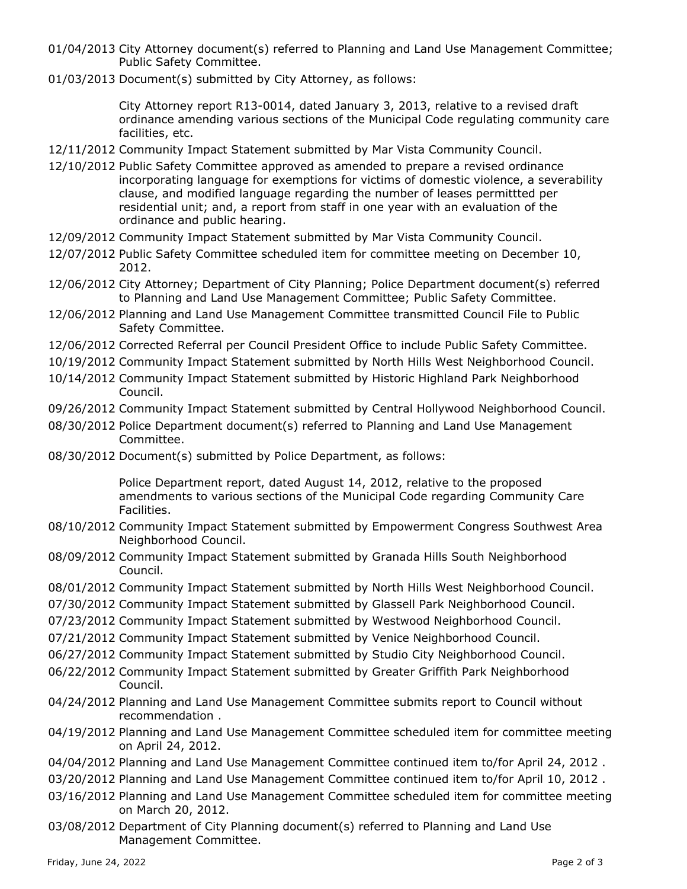- 01/04/2013 City Attorney document(s) referred to Planning and Land Use Management Committee; Public Safety Committee.
- 01/03/2013 Document(s) submitted by City Attorney, as follows:

City Attorney report R13-0014, dated January 3, 2013, relative to a revised draft ordinance amending various sections of the Municipal Code regulating community care facilities, etc.

- 12/11/2012 Community Impact Statement submitted by Mar Vista Community Council.
- 12/10/2012 Public Safety Committee approved as amended to prepare a revised ordinance incorporating language for exemptions for victims of domestic violence, a severability clause, and modified language regarding the number of leases permittted per residential unit; and, a report from staff in one year with an evaluation of the ordinance and public hearing.
- 12/09/2012 Community Impact Statement submitted by Mar Vista Community Council.
- 12/07/2012 Public Safety Committee scheduled item for committee meeting on December 10, 2012.
- 12/06/2012 City Attorney; Department of City Planning; Police Department document(s) referred to Planning and Land Use Management Committee; Public Safety Committee.
- 12/06/2012 Planning and Land Use Management Committee transmitted Council File to Public Safety Committee.
- 12/06/2012 Corrected Referral per Council President Office to include Public Safety Committee.
- 10/19/2012 Community Impact Statement submitted by North Hills West Neighborhood Council.
- 10/14/2012 Community Impact Statement submitted by Historic Highland Park Neighborhood Council.
- 09/26/2012 Community Impact Statement submitted by Central Hollywood Neighborhood Council.
- 08/30/2012 Police Department document(s) referred to Planning and Land Use Management Committee.
- 08/30/2012 Document(s) submitted by Police Department, as follows:

Police Department report, dated August 14, 2012, relative to the proposed amendments to various sections of the Municipal Code regarding Community Care Facilities.

- 08/10/2012 Community Impact Statement submitted by Empowerment Congress Southwest Area Neighborhood Council.
- 08/09/2012 Community Impact Statement submitted by Granada Hills South Neighborhood Council.
- 08/01/2012 Community Impact Statement submitted by North Hills West Neighborhood Council.
- 07/30/2012 Community Impact Statement submitted by Glassell Park Neighborhood Council.
- 07/23/2012 Community Impact Statement submitted by Westwood Neighborhood Council.
- 07/21/2012 Community Impact Statement submitted by Venice Neighborhood Council.
- 06/27/2012 Community Impact Statement submitted by Studio City Neighborhood Council.
- 06/22/2012 Community Impact Statement submitted by Greater Griffith Park Neighborhood Council.
- 04/24/2012 Planning and Land Use Management Committee submits report to Council without recommendation .
- 04/19/2012 Planning and Land Use Management Committee scheduled item for committee meeting on April 24, 2012.
- 04/04/2012 Planning and Land Use Management Committee continued item to/for April 24, 2012 .
- 03/20/2012 Planning and Land Use Management Committee continued item to/for April 10, 2012 .
- 03/16/2012 Planning and Land Use Management Committee scheduled item for committee meeting on March 20, 2012.
- 03/08/2012 Department of City Planning document(s) referred to Planning and Land Use Management Committee.